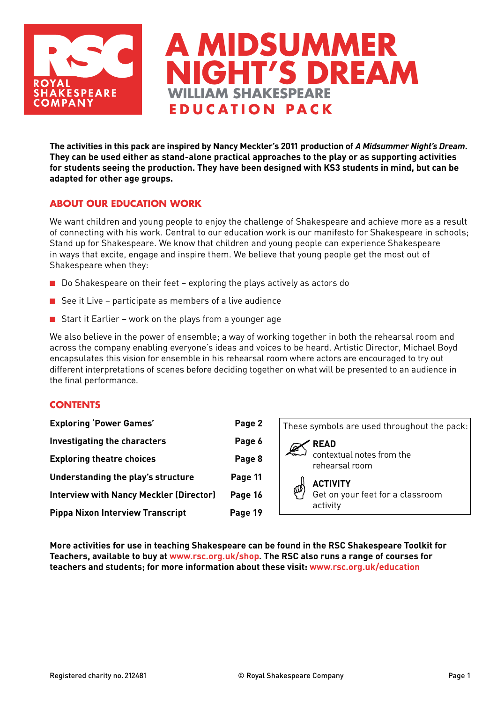

**The activities in this pack are inspired by Nancy Meckler's 2011 production of** *A Midsummer Night's Dream***. They can be used either as stand-alone practical approaches to the play or as supporting activities for students seeing the production. They have been designed with KS3 students in mind, but can be adapted for other age groups.** 

**WILLIAM SHAKESPEARE education pac k**

**A midsummer** 

**NIGHT'S DREAM** 

## **ABOUT our EDUCATION work**

We want children and young people to enjoy the challenge of Shakespeare and achieve more as a result of connecting with his work. Central to our education work is our manifesto for Shakespeare in schools; Stand up for Shakespeare. We know that children and young people can experience Shakespeare in ways that excite, engage and inspire them. We believe that young people get the most out of Shakespeare when they:

- Do Shakespeare on their feet exploring the plays actively as actors do
- See it Live participate as members of a live audience
- Start it Earlier work on the plays from a younger age

We also believe in the power of ensemble; a way of working together in both the rehearsal room and across the company enabling everyone's ideas and voices to be heard. Artistic Director, Michael Boyd encapsulates this vision for ensemble in his rehearsal room where actors are encouraged to try out different interpretations of scenes before deciding together on what will be presented to an audience in the final performance.

#### **CONTENTS**

| <b>Exploring 'Power Games'</b>                 | Page 2  |  |  |
|------------------------------------------------|---------|--|--|
| Investigating the characters                   | Page 6  |  |  |
| <b>Exploring theatre choices</b>               | Page 8  |  |  |
| Understanding the play's structure             | Page 11 |  |  |
| <b>Interview with Nancy Meckler (Director)</b> | Page 16 |  |  |
| <b>Pippa Nixon Interview Transcript</b>        | Page 19 |  |  |



**More activities for use in teaching Shakespeare can be found in the RSC Shakespeare Toolkit for Teachers, available to buy at www.rsc.org.uk/shop. The RSC also runs a range of courses for teachers and students; for more information about these visit: www.rsc.org.uk/education**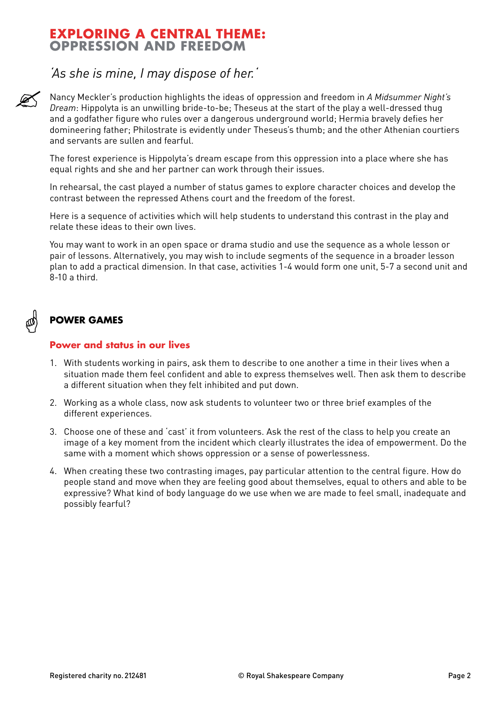## **EXPLORING A CENTRAL THEME: OPPRESSION AND FREEDOM**

## *'As she is mine, I may dispose of her.'*

Nancy Meckler's production highlights the ideas of oppression and freedom in *A Midsummer Night's Dream*: Hippolyta is an unwilling bride-to-be; Theseus at the start of the play a well-dressed thug and a godfather figure who rules over a dangerous underground world; Hermia bravely defies her domineering father; Philostrate is evidently under Theseus's thumb; and the other Athenian courtiers and servants are sullen and fearful.

The forest experience is Hippolyta's dream escape from this oppression into a place where she has equal rights and she and her partner can work through their issues.

In rehearsal, the cast played a number of status games to explore character choices and develop the contrast between the repressed Athens court and the freedom of the forest.

Here is a sequence of activities which will help students to understand this contrast in the play and relate these ideas to their own lives.

You may want to work in an open space or drama studio and use the sequence as a whole lesson or pair of lessons. Alternatively, you may wish to include segments of the sequence in a broader lesson plan to add a practical dimension. In that case, activities 1-4 would form one unit, 5-7 a second unit and 8-10 a third.

## **Power Games**

## **Power and status in our lives**

- 1. With students working in pairs, ask them to describe to one another a time in their lives when a situation made them feel confident and able to express themselves well. Then ask them to describe a different situation when they felt inhibited and put down.
- 2. Working as a whole class, now ask students to volunteer two or three brief examples of the different experiences.
- 3. Choose one of these and 'cast' it from volunteers. Ask the rest of the class to help you create an image of a key moment from the incident which clearly illustrates the idea of empowerment. Do the same with a moment which shows oppression or a sense of powerlessness.
- 4. When creating these two contrasting images, pay particular attention to the central figure. How do people stand and move when they are feeling good about themselves, equal to others and able to be expressive? What kind of body language do we use when we are made to feel small, inadequate and possibly fearful?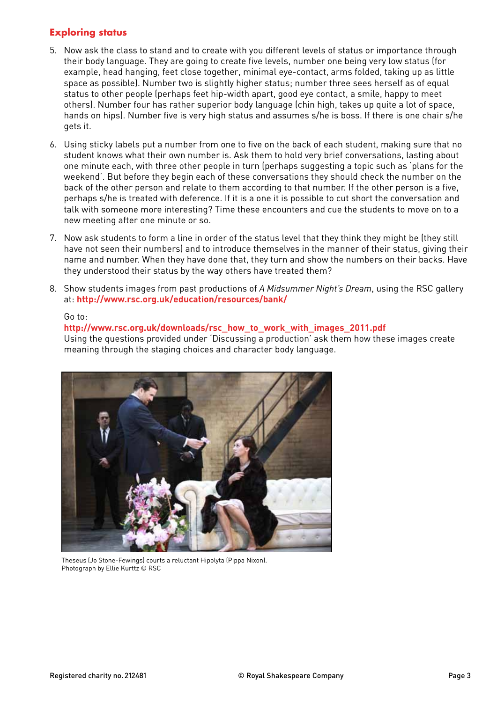## **Exploring status**

- 5. Now ask the class to stand and to create with you different levels of status or importance through their body language. They are going to create five levels, number one being very low status (for example, head hanging, feet close together, minimal eye-contact, arms folded, taking up as little space as possible). Number two is slightly higher status; number three sees herself as of equal status to other people (perhaps feet hip-width apart, good eye contact, a smile, happy to meet others). Number four has rather superior body language (chin high, takes up quite a lot of space, hands on hips). Number five is very high status and assumes s/he is boss. If there is one chair s/he gets it.
- 6. Using sticky labels put a number from one to five on the back of each student, making sure that no student knows what their own number is. Ask them to hold very brief conversations, lasting about one minute each, with three other people in turn (perhaps suggesting a topic such as 'plans for the weekend'. But before they begin each of these conversations they should check the number on the back of the other person and relate to them according to that number. If the other person is a five, perhaps s/he is treated with deference. If it is a one it is possible to cut short the conversation and talk with someone more interesting? Time these encounters and cue the students to move on to a new meeting after one minute or so.
- 7. Now ask students to form a line in order of the status level that they think they might be (they still have not seen their numbers) and to introduce themselves in the manner of their status, giving their name and number. When they have done that, they turn and show the numbers on their backs. Have they understood their status by the way others have treated them?
- 8. Show students images from past productions of *A Midsummer Night's Dream*, using the RSC gallery at: **http://www.rsc.org.uk/education/resources/bank/**

#### Go to:

#### **http://www.rsc.org.uk/downloads/rsc\_how\_to\_work\_with\_images\_2011.pdf** Using the questions provided under 'Discussing a production' ask them how these images create meaning through the staging choices and character body language.



Theseus (Jo Stone-Fewings) courts a reluctant Hipolyta (Pippa Nixon). Photograph by Ellie Kurttz © RSC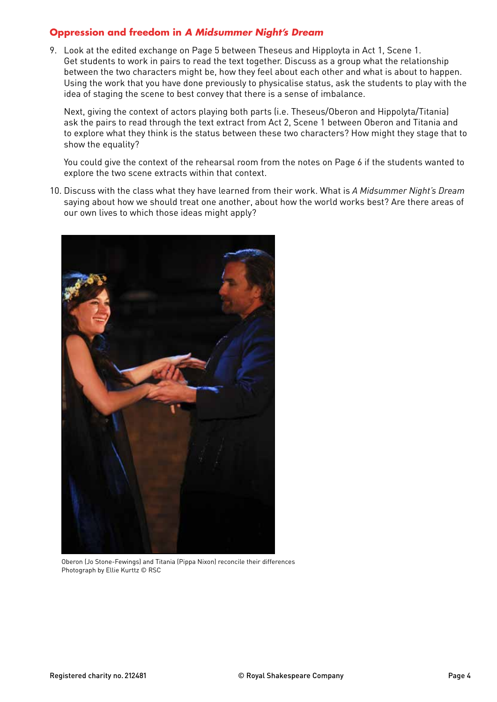## **Oppression and freedom in** *A Midsummer Night's Dream*

9. Look at the edited exchange on Page 5 between Theseus and Hipployta in Act 1, Scene 1. Get students to work in pairs to read the text together. Discuss as a group what the relationship between the two characters might be, how they feel about each other and what is about to happen. Using the work that you have done previously to physicalise status, ask the students to play with the idea of staging the scene to best convey that there is a sense of imbalance.

 Next, giving the context of actors playing both parts (i.e. Theseus/Oberon and Hippolyta/Titania) ask the pairs to read through the text extract from Act 2, Scene 1 between Oberon and Titania and to explore what they think is the status between these two characters? How might they stage that to show the equality?

 You could give the context of the rehearsal room from the notes on Page 6 if the students wanted to explore the two scene extracts within that context.

10. Discuss with the class what they have learned from their work. What is *A Midsummer Night's Dream* saying about how we should treat one another, about how the world works best? Are there areas of our own lives to which those ideas might apply?



Oberon (Jo Stone-Fewings) and Titania (Pippa Nixon) reconcile their differences Photograph by Ellie Kurttz © RSC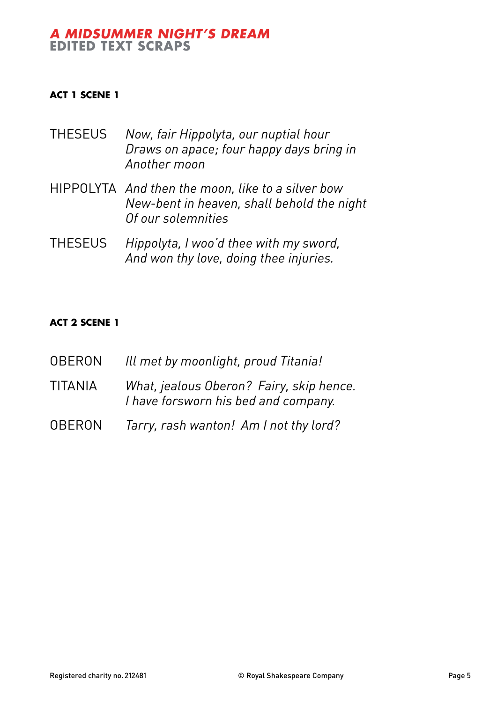## *A Midsummer Night's Dream* **Edited Text Scraps**

## **Act 1 Scene 1**

- THESEUS *Now, fair Hippolyta, our nuptial hour Draws on apace; four happy days bring in Another moon*
- HIPPOLYTA *And then the moon, like to a silver bow New-bent in heaven, shall behold the night Of our solemnities*
- THESEUS *Hippolyta, I woo'd thee with my sword, And won thy love, doing thee injuries.*

## **Act 2 Scene 1**

- OBERON *Ill met by moonlight, proud Titania!*
- TITANIA *What, jealous Oberon? Fairy, skip hence. I have forsworn his bed and company.*
- OBERON *Tarry, rash wanton! Am I not thy lord?*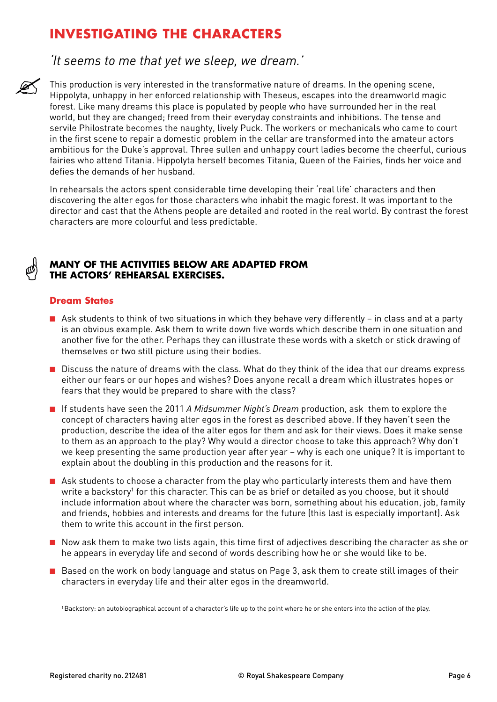# **INVESTIGATING THE CHARACTERS**

## *'It seems to me that yet we sleep, we dream.'*

This production is very interested in the transformative nature of dreams. In the opening scene, Hippolyta, unhappy in her enforced relationship with Theseus, escapes into the dreamworld magic forest. Like many dreams this place is populated by people who have surrounded her in the real world, but they are changed; freed from their everyday constraints and inhibitions. The tense and servile Philostrate becomes the naughty, lively Puck. The workers or mechanicals who came to court in the first scene to repair a domestic problem in the cellar are transformed into the amateur actors ambitious for the Duke's approval. Three sullen and unhappy court ladies become the cheerful, curious fairies who attend Titania. Hippolyta herself becomes Titania, Queen of the Fairies, finds her voice and defies the demands of her husband.

In rehearsals the actors spent considerable time developing their 'real life' characters and then discovering the alter egos for those characters who inhabit the magic forest. It was important to the director and cast that the Athens people are detailed and rooted in the real world. By contrast the forest characters are more colourful and less predictable.

## **Many of the activities below are adapted from the actors' rehearsal exercises.**

## **Dream States**

- Ask students to think of two situations in which they behave very differently in class and at a party is an obvious example. Ask them to write down five words which describe them in one situation and another five for the other. Perhaps they can illustrate these words with a sketch or stick drawing of themselves or two still picture using their bodies.
- Discuss the nature of dreams with the class. What do they think of the idea that our dreams express either our fears or our hopes and wishes? Does anyone recall a dream which illustrates hopes or fears that they would be prepared to share with the class?
- If students have seen the 2011 *A Midsummer Night's Dream* production, ask them to explore the concept of characters having alter egos in the forest as described above. If they haven't seen the production, describe the idea of the alter egos for them and ask for their views. Does it make sense to them as an approach to the play? Why would a director choose to take this approach? Why don't we keep presenting the same production year after year – why is each one unique? It is important to explain about the doubling in this production and the reasons for it.
- Ask students to choose a character from the play who particularly interests them and have them write a backstory<sup>1</sup> for this character. This can be as brief or detailed as you choose, but it should include information about where the character was born, something about his education, job, family and friends, hobbies and interests and dreams for the future (this last is especially important). Ask them to write this account in the first person.
- Now ask them to make two lists again, this time first of adjectives describing the character as she or he appears in everyday life and second of words describing how he or she would like to be.
- Based on the work on body language and status on Page 3, ask them to create still images of their characters in everyday life and their alter egos in the dreamworld.

1Backstory: an autobiographical account of a character's life up to the point where he or she enters into the action of the play.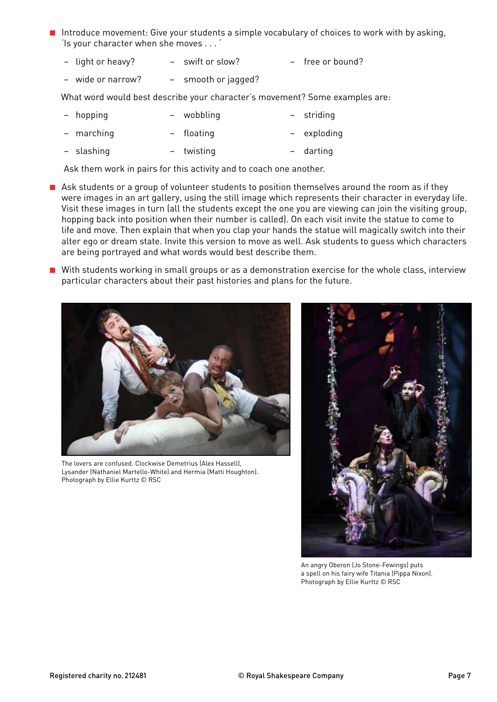- Introduce movement: Give your students a simple vocabulary of choices to work with by asking, 'Is your character when she moves . . . '
	- − light or heavy? swift or slow? free or bound?
	- − wide or narrow? smooth or jagged?

What word would best describe your character's movement? Some examples are:

| - hopping  | - wobbling | - striding  |
|------------|------------|-------------|
| - marching | - floating | - exploding |

− slashing – twisting – darting

Ask them work in pairs for this activity and to coach one another.

- Ask students or a group of volunteer students to position themselves around the room as if they were images in an art gallery, using the still image which represents their character in everyday life. Visit these images in turn (all the students except the one you are viewing can join the visiting group, hopping back into position when their number is called). On each visit invite the statue to come to life and move. Then explain that when you clap your hands the statue will magically switch into their alter ego or dream state. Invite this version to move as well. Ask students to guess which characters are being portrayed and what words would best describe them.
- With students working in small groups or as a demonstration exercise for the whole class, interview particular characters about their past histories and plans for the future.



The lovers are confused. Clockwise Demetrius (Alex Hassell), Lysander (Nathaniel Martello-White) and Hermia (Matti Houghton). Photograph by Ellie Kurttz © RSC



An angry Oberon (Jo Stone-Fewings) puts a spell on his fairy wife Titania (Pippa Nixon). Photograph by Ellie Kurttz © RSC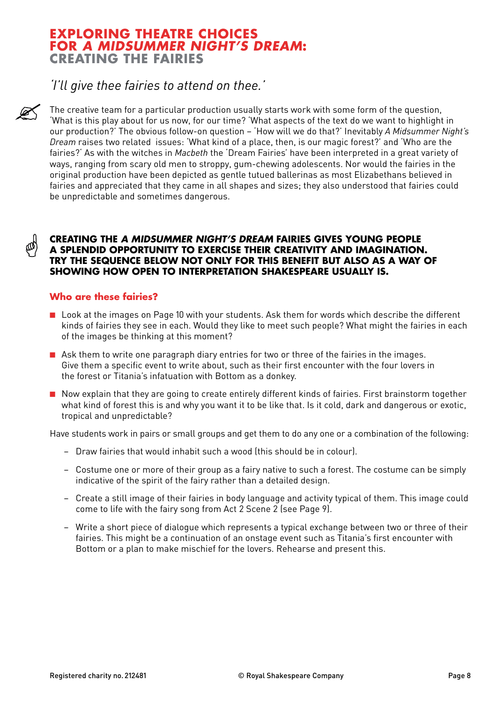## **EXPLORING THEATRE CHOICES FOR** *A MIDSUMMER NIGHT'S DREAM***: CREATING THE FAIRIES**

## *'I'll give thee fairies to attend on thee.'*

The creative team for a particular production usually starts work with some form of the question, 'What is this play about for us now, for our time? 'What aspects of the text do we want to highlight in our production?' The obvious follow-on question – 'How will we do that?' Inevitably *A Midsummer Night's Dream* raises two related issues: 'What kind of a place, then, is our magic forest?' and 'Who are the fairies?' As with the witches in *Macbeth* the 'Dream Fairies' have been interpreted in a great variety of ways, ranging from scary old men to stroppy, gum-chewing adolescents. Nor would the fairies in the original production have been depicted as gentle tutued ballerinas as most Elizabethans believed in fairies and appreciated that they came in all shapes and sizes; they also understood that fairies could be unpredictable and sometimes dangerous.

#### **Creating the** *A Midsummer Night's Dream* **fairies gives young people a splendid opportunity to exercise their creativity and imagination. Try the sequence below not only for this benefit but also as a way of showing how open to interpretation Shakespeare usually is.**

### **Who are these fairies?**

- Look at the images on Page 10 with your students. Ask them for words which describe the different kinds of fairies they see in each. Would they like to meet such people? What might the fairies in each of the images be thinking at this moment?
- Ask them to write one paragraph diary entries for two or three of the fairies in the images. Give them a specific event to write about, such as their first encounter with the four lovers in the forest or Titania's infatuation with Bottom as a donkey.
- Now explain that they are going to create entirely different kinds of fairies. First brainstorm together what kind of forest this is and why you want it to be like that. Is it cold, dark and dangerous or exotic, tropical and unpredictable?

Have students work in pairs or small groups and get them to do any one or a combination of the following:

- − Draw fairies that would inhabit such a wood (this should be in colour).
- − Costume one or more of their group as a fairy native to such a forest. The costume can be simply indicative of the spirit of the fairy rather than a detailed design.
- − Create a still image of their fairies in body language and activity typical of them. This image could come to life with the fairy song from Act 2 Scene 2 (see Page 9).
- − Write a short piece of dialogue which represents a typical exchange between two or three of their fairies. This might be a continuation of an onstage event such as Titania's first encounter with Bottom or a plan to make mischief for the lovers. Rehearse and present this.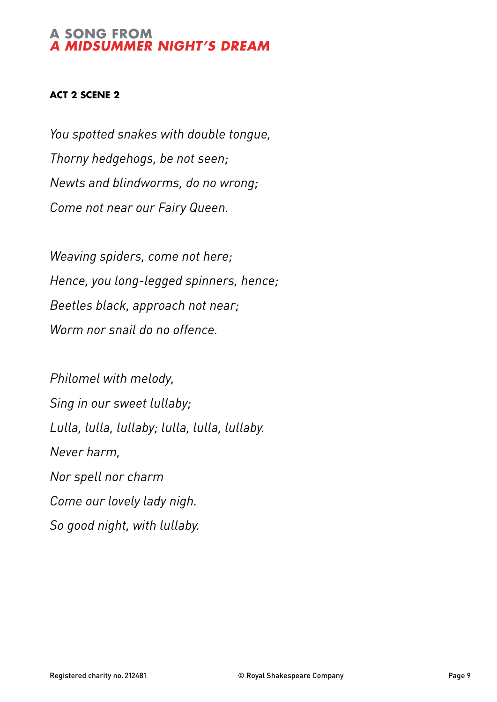## **A SONG FROM** *A MIDSUMMER NIGHT'S DREAM*

## **Act 2 Scene 2**

*You spotted snakes with double tongue, Thorny hedgehogs, be not seen; Newts and blindworms, do no wrong; Come not near our Fairy Queen.*

*Weaving spiders, come not here; Hence, you long-legged spinners, hence; Beetles black, approach not near; Worm nor snail do no offence.*

*Philomel with melody, Sing in our sweet lullaby; Lulla, lulla, lullaby; lulla, lulla, lullaby. Never harm, Nor spell nor charm Come our lovely lady nigh. So good night, with lullaby.*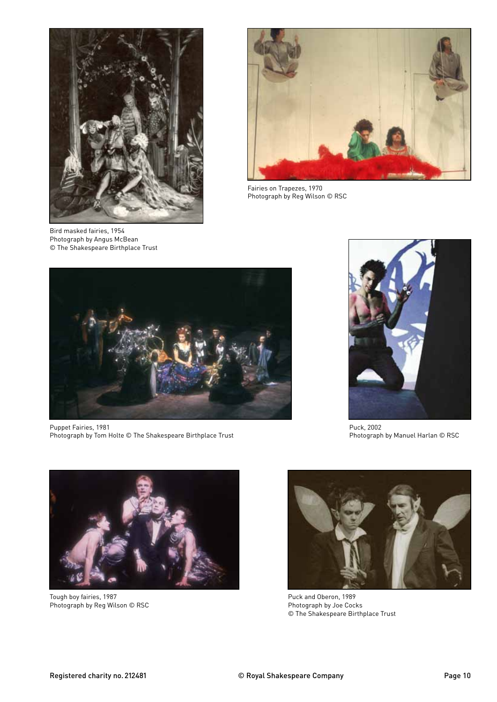

Bird masked fairies, 1954 Photograph by Angus McBean © The Shakespeare Birthplace Trust



Fairies on Trapezes, 1970 Photograph by Reg Wilson © RSC



Puppet Fairies, 1981 Photograph by Tom Holte © The Shakespeare Birthplace Trust



Puck, 2002 Photograph by Manuel Harlan © RSC



Tough boy fairies, 1987 Photograph by Reg Wilson © RSC



Puck and Oberon, 1989 Photograph by Joe Cocks © The Shakespeare Birthplace Trust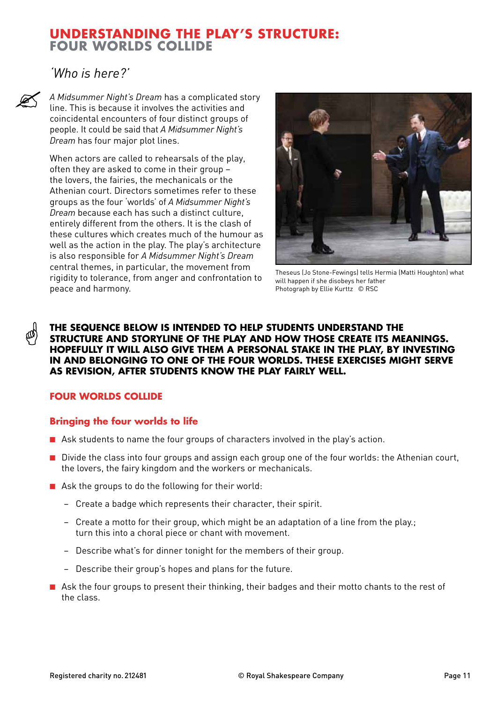## **understanding THE PLAY'S STRUCTURE: FOUR WORLDS COLLIde**

*'Who is here?'*

*A Midsummer Night's Dream* has a complicated story line. This is because it involves the activities and coincidental encounters of four distinct groups of people. It could be said that *A Midsummer Night's Dream* has four major plot lines.

When actors are called to rehearsals of the play, often they are asked to come in their group – the lovers, the fairies, the mechanicals or the Athenian court. Directors sometimes refer to these groups as the four 'worlds' of *A Midsummer Night's Dream* because each has such a distinct culture, entirely different from the others. It is the clash of these cultures which creates much of the humour as well as the action in the play. The play's architecture is also responsible for *A Midsummer Night's Dream* central themes, in particular, the movement from rigidity to tolerance, from anger and confrontation to peace and harmony.



Theseus (Jo Stone-Fewings) tells Hermia (Matti Houghton) what will happen if she disobeys her father Photograph by Ellie Kurttz © RSC

### **The sequence below is intended to help students understand the structure and storyline of the play and how those create its meanings. Hopefully it will also give them a personal stake in the play, by investing in and belonging to one of the four worlds. These exercises might serve as revision, after students know the play fairly well.**

## **FOUR WORLDS COLLIde**

## **Bringing the four worlds to life**

- Ask students to name the four groups of characters involved in the play's action.
- Divide the class into four groups and assign each group one of the four worlds: the Athenian court, the lovers, the fairy kingdom and the workers or mechanicals.
- Ask the groups to do the following for their world:
	- − Create a badge which represents their character, their spirit.
	- − Create a motto for their group, which might be an adaptation of a line from the play.; turn this into a choral piece or chant with movement.
	- − Describe what's for dinner tonight for the members of their group.
	- − Describe their group's hopes and plans for the future.
- Ask the four groups to present their thinking, their badges and their motto chants to the rest of the class.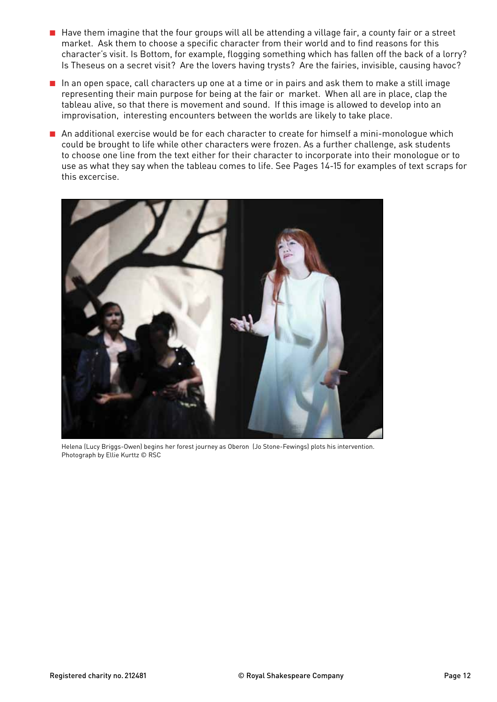- Have them imagine that the four groups will all be attending a village fair, a county fair or a street market. Ask them to choose a specific character from their world and to find reasons for this character's visit. Is Bottom, for example, flogging something which has fallen off the back of a lorry? Is Theseus on a secret visit? Are the lovers having trysts? Are the fairies, invisible, causing havoc?
- In an open space, call characters up one at a time or in pairs and ask them to make a still image representing their main purpose for being at the fair or market. When all are in place, clap the tableau alive, so that there is movement and sound. If this image is allowed to develop into an improvisation, interesting encounters between the worlds are likely to take place.
- An additional exercise would be for each character to create for himself a mini-monologue which could be brought to life while other characters were frozen. As a further challenge, ask students to choose one line from the text either for their character to incorporate into their monologue or to use as what they say when the tableau comes to life. See Pages 14-15 for examples of text scraps for this excercise.



Helena (Lucy Briggs-Owen) begins her forest journey as Oberon (Jo Stone-Fewings) plots his intervention. Photograph by Ellie Kurttz © RSC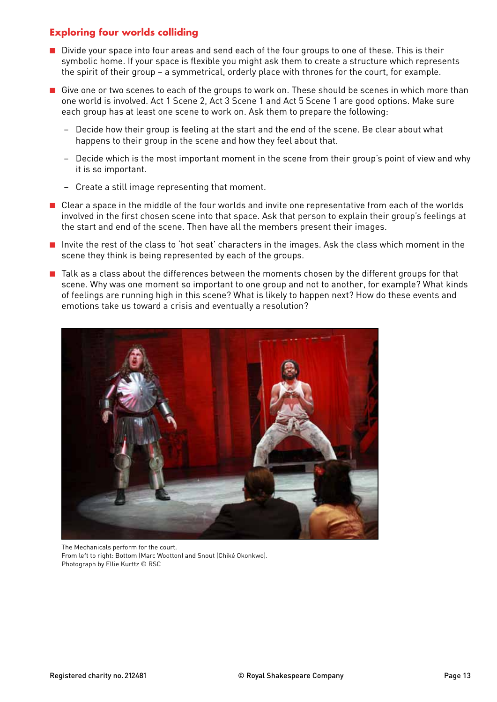## **Exploring four worlds colliding**

- Divide your space into four areas and send each of the four groups to one of these. This is their symbolic home. If your space is flexible you might ask them to create a structure which represents the spirit of their group – a symmetrical, orderly place with thrones for the court, for example.
- Give one or two scenes to each of the groups to work on. These should be scenes in which more than one world is involved. Act 1 Scene 2, Act 3 Scene 1 and Act 5 Scene 1 are good options. Make sure each group has at least one scene to work on. Ask them to prepare the following:
	- Decide how their group is feeling at the start and the end of the scene. Be clear about what happens to their group in the scene and how they feel about that.
	- − Decide which is the most important moment in the scene from their group's point of view and why it is so important.
	- − Create a still image representing that moment.
- Clear a space in the middle of the four worlds and invite one representative from each of the worlds involved in the first chosen scene into that space. Ask that person to explain their group's feelings at the start and end of the scene. Then have all the members present their images.
- Invite the rest of the class to 'hot seat' characters in the images. Ask the class which moment in the scene they think is being represented by each of the groups.
- Talk as a class about the differences between the moments chosen by the different groups for that scene. Why was one moment so important to one group and not to another, for example? What kinds of feelings are running high in this scene? What is likely to happen next? How do these events and emotions take us toward a crisis and eventually a resolution?



The Mechanicals perform for the court. From left to right: Bottom (Marc Wootton) and Snout (Chiké Okonkwo). Photograph by Ellie Kurttz © RSC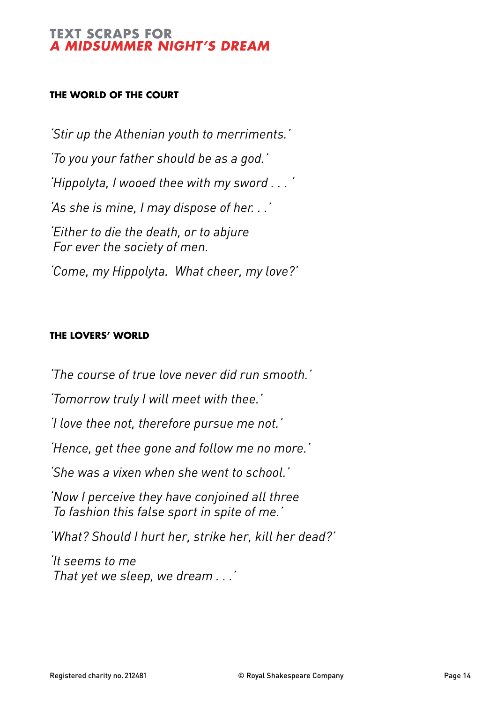## **TEXT SCRAPS FOR** *A Midsummer Night's Dream*

## **The World of the Court**

*'Stir up the Athenian youth to merriments.' 'To you your father should be as a god.' 'Hippolyta, I wooed thee with my sword . . . ' 'As she is mine, I may dispose of her. . .' 'Either to die the death, or to abjure For ever the society of men. 'Come, my Hippolyta. What cheer, my love?'*

## **The Lovers' World**

*'The course of true love never did run smooth.'*

*'Tomorrow truly I will meet with thee.'*

*'I love thee not, therefore pursue me not.'*

*'Hence, get thee gone and follow me no more.'*

*'She was a vixen when she went to school.'*

*'Now I perceive they have conjoined all three To fashion this false sport in spite of me.'*

*'What? Should I hurt her, strike her, kill her dead?'*

*'It seems to me That yet we sleep, we dream . . .'*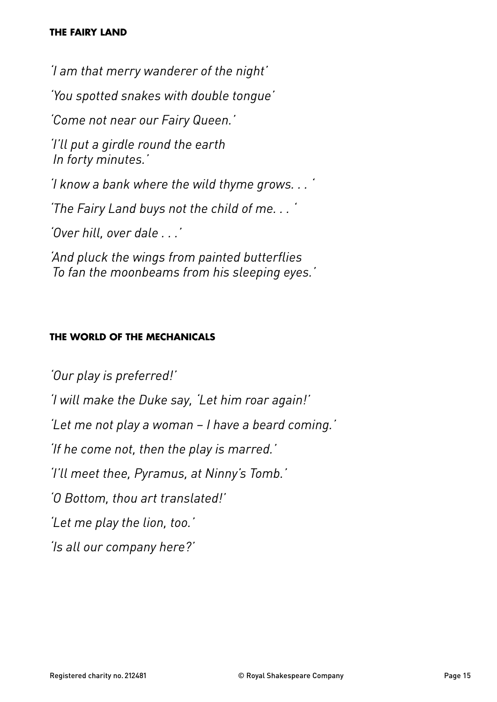## **The Fairy Land**

*'I am that merry wanderer of the night' 'You spotted snakes with double tongue' 'Come not near our Fairy Queen.' 'I'll put a girdle round the earth In forty minutes.' 'I know a bank where the wild thyme grows. . . ' 'The Fairy Land buys not the child of me. . . ' 'Over hill, over dale . . .' 'And pluck the wings from painted butterflies To fan the moonbeams from his sleeping eyes.'*

## **The World of the Mechanicals**

*'Our play is preferred!' 'I will make the Duke say, 'Let him roar again!' 'Let me not play a woman – I have a beard coming.' 'If he come not, then the play is marred.' 'I'll meet thee, Pyramus, at Ninny's Tomb.' 'O Bottom, thou art translated!' 'Let me play the lion, too.' 'Is all our company here?'*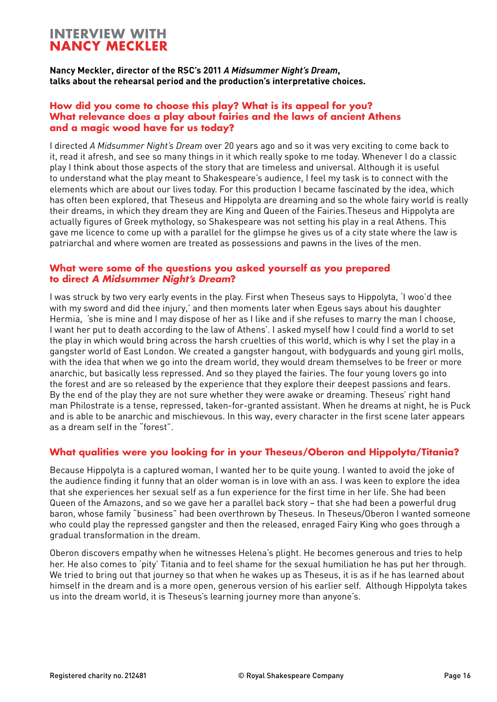## **Interview with Nancy Meckler**

**Nancy Meckler, director of the RSC's 2011** *A Midsummer Night's Dream***, talks about the rehearsal period and the production's interpretative choices.**

#### **How did you come to choose this play? What is its appeal for you? What relevance does a play about fairies and the laws of ancient Athens and a magic wood have for us today?**

I directed *A Midsummer Night's Dream* over 20 years ago and so it was very exciting to come back to it, read it afresh, and see so many things in it which really spoke to me today. Whenever I do a classic play I think about those aspects of the story that are timeless and universal. Although it is useful to understand what the play meant to Shakespeare's audience, I feel my task is to connect with the elements which are about our lives today. For this production I became fascinated by the idea, which has often been explored, that Theseus and Hippolyta are dreaming and so the whole fairy world is really their dreams, in which they dream they are King and Queen of the Fairies.Theseus and Hippolyta are actually figures of Greek mythology, so Shakespeare was not setting his play in a real Athens. This gave me licence to come up with a parallel for the glimpse he gives us of a city state where the law is patriarchal and where women are treated as possessions and pawns in the lives of the men.

### **What were some of the questions you asked yourself as you prepared to direct** *A Midsummer Night's Dream***?**

I was struck by two very early events in the play. First when Theseus says to Hippolyta, 'I woo'd thee with my sword and did thee injury,' and then moments later when Egeus says about his daughter Hermia, 'she is mine and I may dispose of her as I like and if she refuses to marry the man I choose, I want her put to death according to the law of Athens'. I asked myself how I could find a world to set the play in which would bring across the harsh cruelties of this world, which is why I set the play in a gangster world of East London. We created a gangster hangout, with bodyguards and young girl molls, with the idea that when we go into the dream world, they would dream themselves to be freer or more anarchic, but basically less repressed. And so they played the fairies. The four young lovers go into the forest and are so released by the experience that they explore their deepest passions and fears. By the end of the play they are not sure whether they were awake or dreaming. Theseus' right hand man Philostrate is a tense, repressed, taken-for-granted assistant. When he dreams at night, he is Puck and is able to be anarchic and mischievous. In this way, every character in the first scene later appears as a dream self in the "forest".

## **What qualities were you looking for in your Theseus/Oberon and Hippolyta/Titania?**

Because Hippolyta is a captured woman, I wanted her to be quite young. I wanted to avoid the joke of the audience finding it funny that an older woman is in love with an ass. I was keen to explore the idea that she experiences her sexual self as a fun experience for the first time in her life. She had been Queen of the Amazons, and so we gave her a parallel back story – that she had been a powerful drug baron, whose family "business" had been overthrown by Theseus. In Theseus/Oberon I wanted someone who could play the repressed gangster and then the released, enraged Fairy King who goes through a gradual transformation in the dream.

Oberon discovers empathy when he witnesses Helena's plight. He becomes generous and tries to help her. He also comes to 'pity' Titania and to feel shame for the sexual humiliation he has put her through. We tried to bring out that journey so that when he wakes up as Theseus, it is as if he has learned about himself in the dream and is a more open, generous version of his earlier self. Although Hippolyta takes us into the dream world, it is Theseus's learning journey more than anyone's.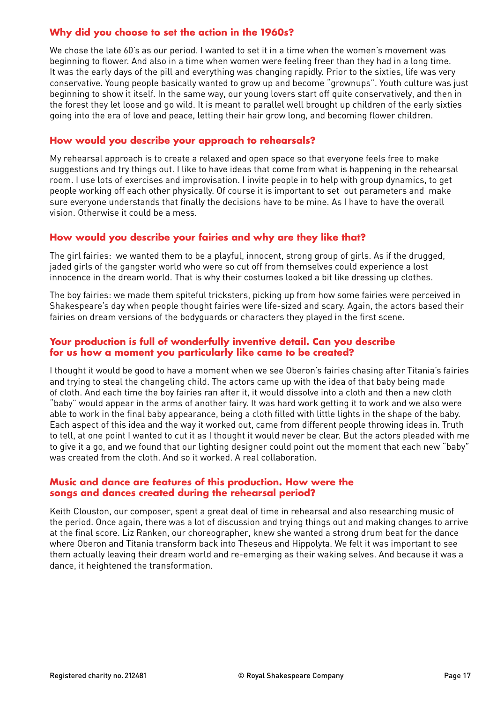## **Why did you choose to set the action in the 1960s?**

We chose the late 60's as our period. I wanted to set it in a time when the women's movement was beginning to flower. And also in a time when women were feeling freer than they had in a long time. It was the early days of the pill and everything was changing rapidly. Prior to the sixties, life was very conservative. Young people basically wanted to grow up and become "grownups". Youth culture was just beginning to show it itself. In the same way, our young lovers start off quite conservatively, and then in the forest they let loose and go wild. It is meant to parallel well brought up children of the early sixties going into the era of love and peace, letting their hair grow long, and becoming flower children.

### **How would you describe your approach to rehearsals?**

My rehearsal approach is to create a relaxed and open space so that everyone feels free to make suggestions and try things out. I like to have ideas that come from what is happening in the rehearsal room. I use lots of exercises and improvisation. I invite people in to help with group dynamics, to get people working off each other physically. Of course it is important to set out parameters and make sure everyone understands that finally the decisions have to be mine. As I have to have the overall vision. Otherwise it could be a mess.

## **How would you describe your fairies and why are they like that?**

The girl fairies: we wanted them to be a playful, innocent, strong group of girls. As if the drugged, jaded girls of the gangster world who were so cut off from themselves could experience a lost innocence in the dream world. That is why their costumes looked a bit like dressing up clothes.

The boy fairies: we made them spiteful tricksters, picking up from how some fairies were perceived in Shakespeare's day when people thought fairies were life-sized and scary. Again, the actors based their fairies on dream versions of the bodyguards or characters they played in the first scene.

### **Your production is full of wonderfully inventive detail. Can you describe for us how a moment you particularly like came to be created?**

I thought it would be good to have a moment when we see Oberon's fairies chasing after Titania's fairies and trying to steal the changeling child. The actors came up with the idea of that baby being made of cloth. And each time the boy fairies ran after it, it would dissolve into a cloth and then a new cloth "baby" would appear in the arms of another fairy. It was hard work getting it to work and we also were able to work in the final baby appearance, being a cloth filled with little lights in the shape of the baby. Each aspect of this idea and the way it worked out, came from different people throwing ideas in. Truth to tell, at one point I wanted to cut it as I thought it would never be clear. But the actors pleaded with me to give it a go, and we found that our lighting designer could point out the moment that each new "baby" was created from the cloth. And so it worked. A real collaboration.

#### **Music and dance are features of this production. How were the songs and dances created during the rehearsal period?**

Keith Clouston, our composer, spent a great deal of time in rehearsal and also researching music of the period. Once again, there was a lot of discussion and trying things out and making changes to arrive at the final score. Liz Ranken, our choreographer, knew she wanted a strong drum beat for the dance where Oberon and Titania transform back into Theseus and Hippolyta. We felt it was important to see them actually leaving their dream world and re-emerging as their waking selves. And because it was a dance, it heightened the transformation.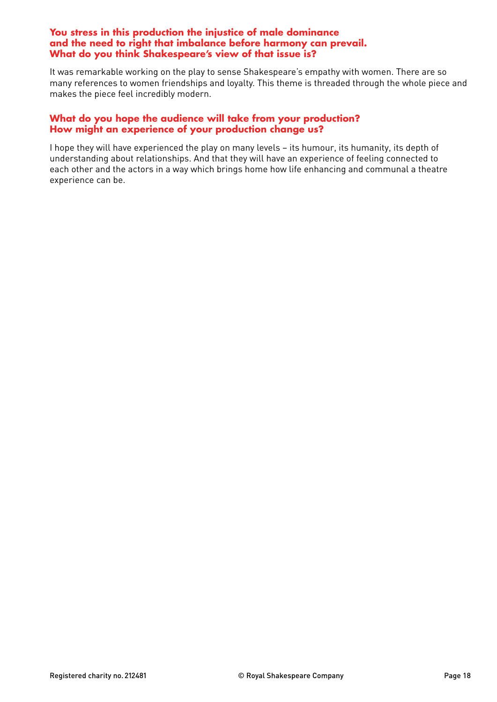#### **You stress in this production the injustice of male dominance and the need to right that imbalance before harmony can prevail. What do you think Shakespeare's view of that issue is?**

It was remarkable working on the play to sense Shakespeare's empathy with women. There are so many references to women friendships and loyalty. This theme is threaded through the whole piece and makes the piece feel incredibly modern.

## **What do you hope the audience will take from your production? How might an experience of your production change us?**

I hope they will have experienced the play on many levels – its humour, its humanity, its depth of understanding about relationships. And that they will have an experience of feeling connected to each other and the actors in a way which brings home how life enhancing and communal a theatre experience can be.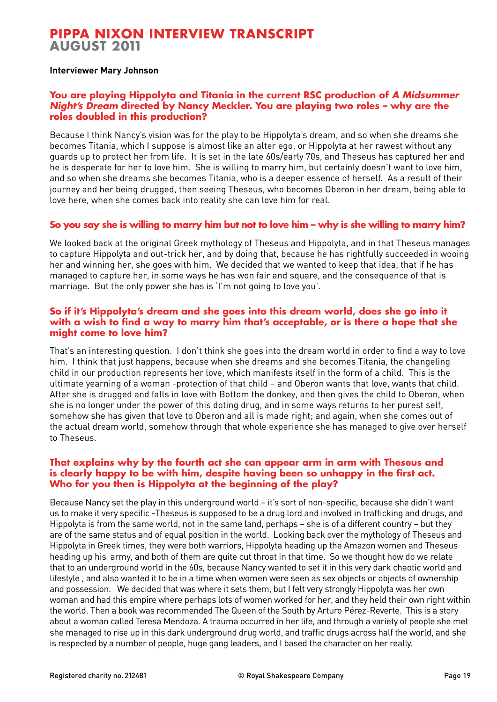## **Pippa Nixon interview transcript August 2011**

#### **Interviewer Mary Johnson**

#### **You are playing Hippolyta and Titania in the current RSC production of** *A Midsummer Night's Dream* **directed by Nancy Meckler. You are playing two roles – why are the roles doubled in this production?**

Because I think Nancy's vision was for the play to be Hippolyta's dream, and so when she dreams she becomes Titania, which I suppose is almost like an alter ego, or Hippolyta at her rawest without any guards up to protect her from life. It is set in the late 60s/early 70s, and Theseus has captured her and he is desperate for her to love him. She is willing to marry him, but certainly doesn't want to love him, and so when she dreams she becomes Titania, who is a deeper essence of herself. As a result of their journey and her being drugged, then seeing Theseus, who becomes Oberon in her dream, being able to love here, when she comes back into reality she can love him for real.

### **So you say she is willing to marry him but not to love him – why is she willing to marry him?**

We looked back at the original Greek mythology of Theseus and Hippolyta, and in that Theseus manages to capture Hippolyta and out-trick her, and by doing that, because he has rightfully succeeded in wooing her and winning her, she goes with him. We decided that we wanted to keep that idea, that if he has managed to capture her, in some ways he has won fair and square, and the consequence of that is marriage. But the only power she has is 'I'm not going to love you'.

#### **So if it's Hippolyta's dream and she goes into this dream world, does she go into it with a wish to find a way to marry him that's acceptable, or is there a hope that she might come to love him?**

That's an interesting question. I don't think she goes into the dream world in order to find a way to love him. I think that just happens, because when she dreams and she becomes Titania, the changeling child in our production represents her love, which manifests itself in the form of a child. This is the ultimate yearning of a woman -protection of that child – and Oberon wants that love, wants that child. After she is drugged and falls in love with Bottom the donkey, and then gives the child to Oberon, when she is no longer under the power of this doting drug, and in some ways returns to her purest self, somehow she has given that love to Oberon and all is made right; and again, when she comes out of the actual dream world, somehow through that whole experience she has managed to give over herself to Theseus.

### **That explains why by the fourth act she can appear arm in arm with Theseus and is clearly happy to be with him, despite having been so unhappy in the first act. Who for you then is Hippolyta at the beginning of the play?**

Because Nancy set the play in this underground world – it's sort of non-specific, because she didn't want us to make it very specific -Theseus is supposed to be a drug lord and involved in trafficking and drugs, and Hippolyta is from the same world, not in the same land, perhaps – she is of a different country – but they are of the same status and of equal position in the world. Looking back over the mythology of Theseus and Hippolyta in Greek times, they were both warriors, Hippolyta heading up the Amazon women and Theseus heading up his army, and both of them are quite cut throat in that time. So we thought how do we relate that to an underground world in the 60s, because Nancy wanted to set it in this very dark chaotic world and lifestyle , and also wanted it to be in a time when women were seen as sex objects or objects of ownership and possession. We decided that was where it sets them, but I felt very strongly Hippolyta was her own woman and had this empire where perhaps lots of women worked for her, and they held their own right within the world. Then a book was recommended The Queen of the South by Arturo Pérez-Reverte. This is a story about a woman called Teresa Mendoza. A trauma occurred in her life, and through a variety of people she met she managed to rise up in this dark underground drug world, and traffic drugs across half the world, and she is respected by a number of people, huge gang leaders, and I based the character on her really.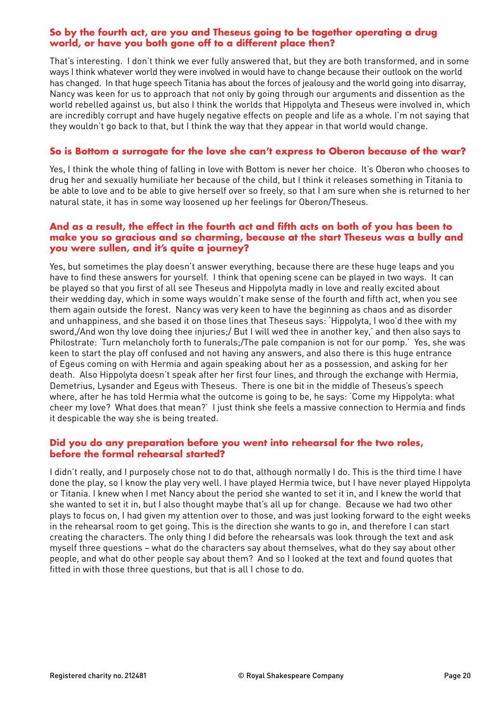### **So by the fourth act, are you and Theseus going to be together operating a drug world, or have you both gone off to a different place then?**

That's interesting. I don't think we ever fully answered that, but they are both transformed, and in some ways I think whatever world they were involved in would have to change because their outlook on the world has changed. In that huge speech Titania has about the forces of jealousy and the world going into disarray, Nancy was keen for us to approach that not only by going through our arguments and dissention as the world rebelled against us, but also I think the worlds that Hippolyta and Theseus were involved in, which are incredibly corrupt and have hugely negative effects on people and life as a whole. I'm not saying that they wouldn't go back to that, but I think the way that they appear in that world would change.

### **So is Bottom a surrogate for the love she can't express to Oberon because of the war?**

Yes, I think the whole thing of falling in love with Bottom is never her choice. It's Oberon who chooses to drug her and sexually humiliate her because of the child, but I think it releases something in Titania to be able to love and to be able to give herself over so freely, so that I am sure when she is returned to her natural state, it has in some way loosened up her feelings for Oberon/Theseus.

#### **And as a result, the effect in the fourth act and fifth acts on both of you has been to make you so gracious and so charming, because at the start Theseus was a bully and you were sullen, and it's quite a journey?**

Yes, but sometimes the play doesn't answer everything, because there are these huge leaps and you have to find these answers for yourself. I think that opening scene can be played in two ways. It can be played so that you first of all see Theseus and Hippolyta madly in love and really excited about their wedding day, which in some ways wouldn't make sense of the fourth and fifth act, when you see them again outside the forest. Nancy was very keen to have the beginning as chaos and as disorder and unhappiness, and she based it on those lines that Theseus says: 'Hippolyta, I woo'd thee with my sword,/And won thy love doing thee injuries;/ But I will wed thee in another key,' and then also says to Philostrate: 'Turn melancholy forth to funerals;/The pale companion is not for our pomp.' Yes, she was keen to start the play off confused and not having any answers, and also there is this huge entrance of Egeus coming on with Hermia and again speaking about her as a possession, and asking for her death. Also Hippolyta doesn't speak after her first four lines, and through the exchange with Hermia, Demetrius, Lysander and Egeus with Theseus. There is one bit in the middle of Theseus's speech where, after he has told Hermia what the outcome is going to be, he says: 'Come my Hippolyta: what cheer my love? What does that mean?' I just think she feels a massive connection to Hermia and finds it despicable the way she is being treated.

### **Did you do any preparation before you went into rehearsal for the two roles, before the formal rehearsal started?**

I didn't really, and I purposely chose not to do that, although normally I do. This is the third time I have done the play, so I know the play very well. I have played Hermia twice, but I have never played Hippolyta or Titania. I knew when I met Nancy about the period she wanted to set it in, and I knew the world that she wanted to set it in, but I also thought maybe that's all up for change. Because we had two other plays to focus on, I had given my attention over to those, and was just looking forward to the eight weeks in the rehearsal room to get going. This is the direction she wants to go in, and therefore I can start creating the characters. The only thing I did before the rehearsals was look through the text and ask myself three questions – what do the characters say about themselves, what do they say about other people, and what do other people say about them? And so I looked at the text and found quotes that fitted in with those three questions, but that is all I chose to do.